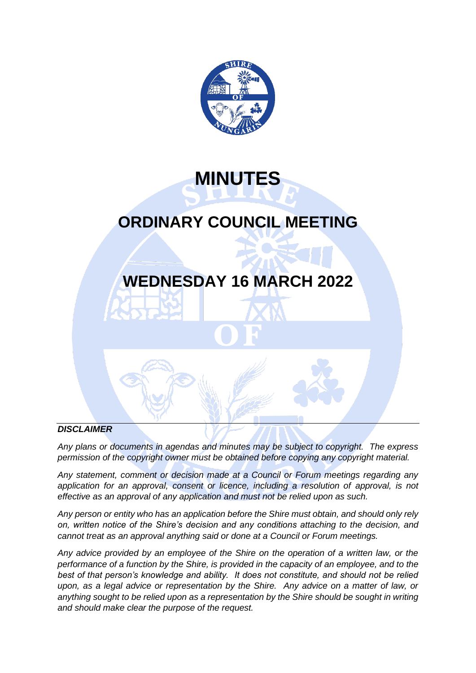

**MINUTES**

# **ORDINARY COUNCIL MEETING**

# **WEDNESDAY 16 MARCH 2022**

# *DISCLAIMER*

*Any plans or documents in agendas and minutes may be subject to copyright. The express permission of the copyright owner must be obtained before copying any copyright material.*

*Any statement, comment or decision made at a Council or Forum meetings regarding any*  application for an approval, consent or licence, including a resolution of approval, is not *effective as an approval of any application and must not be relied upon as such.*

*Any person or entity who has an application before the Shire must obtain, and should only rely on, written notice of the Shire's decision and any conditions attaching to the decision, and cannot treat as an approval anything said or done at a Council or Forum meetings.*

*Any advice provided by an employee of the Shire on the operation of a written law, or the performance of a function by the Shire, is provided in the capacity of an employee, and to the best of that person's knowledge and ability. It does not constitute, and should not be relied upon, as a legal advice or representation by the Shire. Any advice on a matter of law, or anything sought to be relied upon as a representation by the Shire should be sought in writing and should make clear the purpose of the request.*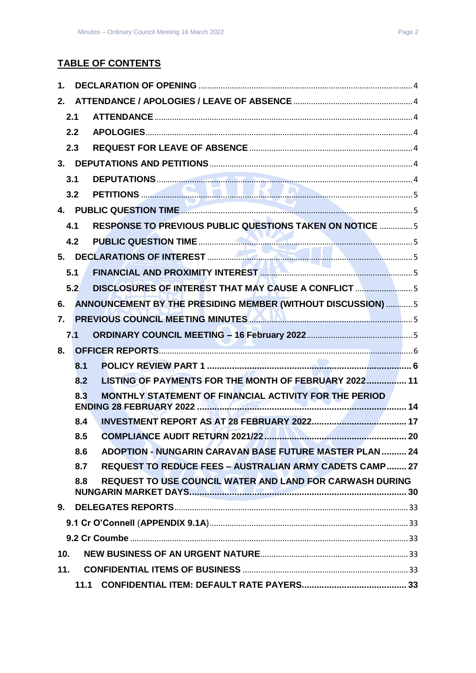# **TABLE OF CONTENTS**

| 1.  |      |                                                                  |  |  |  |
|-----|------|------------------------------------------------------------------|--|--|--|
| 2.  |      |                                                                  |  |  |  |
|     | 2.1  |                                                                  |  |  |  |
|     | 2.2  |                                                                  |  |  |  |
|     | 2.3  |                                                                  |  |  |  |
|     |      |                                                                  |  |  |  |
|     | 3.1  |                                                                  |  |  |  |
|     | 3.2  |                                                                  |  |  |  |
|     |      |                                                                  |  |  |  |
|     | 4.1  | <b>RESPONSE TO PREVIOUS PUBLIC QUESTIONS TAKEN ON NOTICE 5</b>   |  |  |  |
|     | 4.2  |                                                                  |  |  |  |
|     |      |                                                                  |  |  |  |
|     | 5.1  |                                                                  |  |  |  |
|     | 5.2  | DISCLOSURES OF INTEREST THAT MAY CAUSE A CONFLICT 5              |  |  |  |
| 6.  |      | ANNOUNCEMENT BY THE PRESIDING MEMBER (WITHOUT DISCUSSION)  5     |  |  |  |
| 7.  |      | PREVIOUS COUNCIL MEETING MINUTES <b>AND ALL AND CONSTRUCTS</b> 5 |  |  |  |
|     | 7.1  |                                                                  |  |  |  |
| 8.  |      |                                                                  |  |  |  |
|     | 8.1  |                                                                  |  |  |  |
|     | 8.2  | LISTING OF PAYMENTS FOR THE MONTH OF FEBRUARY 2022 11            |  |  |  |
|     | 8.3  | MONTHLY STATEMENT OF FINANCIAL ACTIVITY FOR THE PERIOD           |  |  |  |
|     | 8.4  |                                                                  |  |  |  |
|     | 8.5  | 20<br><b>COMPLIANCE AUDIT RETURN 2021/22</b>                     |  |  |  |
|     | 8.6  | <b>ADOPTION - NUNGARIN CARAVAN BASE FUTURE MASTER PLAN  24</b>   |  |  |  |
|     | 8.7  | <b>REQUEST TO REDUCE FEES - AUSTRALIAN ARMY CADETS CAMP 27</b>   |  |  |  |
|     | 8.8  | <b>REQUEST TO USE COUNCIL WATER AND LAND FOR CARWASH DURING</b>  |  |  |  |
|     |      |                                                                  |  |  |  |
|     |      |                                                                  |  |  |  |
|     |      |                                                                  |  |  |  |
| 10. |      |                                                                  |  |  |  |
| 11. |      |                                                                  |  |  |  |
|     | 11.1 |                                                                  |  |  |  |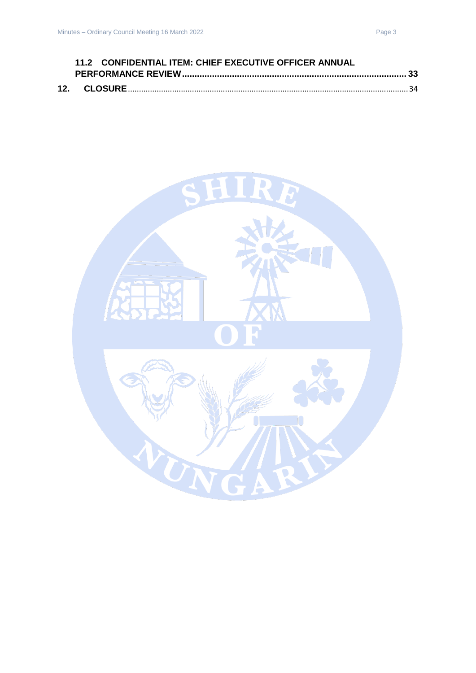| 11.2 CONFIDENTIAL ITEM: CHIEF EXECUTIVE OFFICER ANNUAL |  |
|--------------------------------------------------------|--|
|                                                        |  |
|                                                        |  |

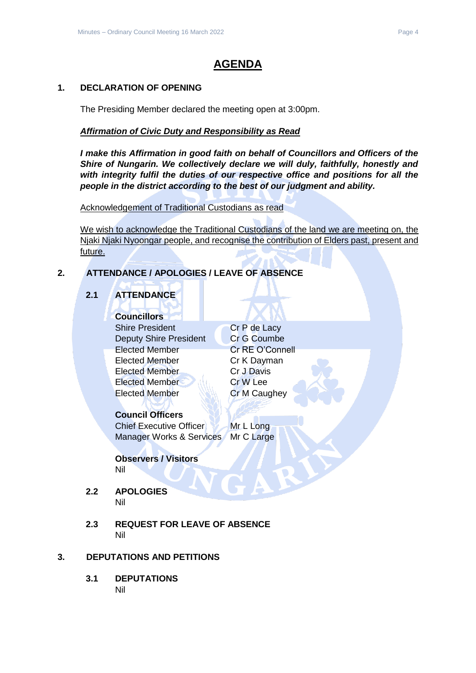# **AGENDA**

# <span id="page-3-0"></span>**1. DECLARATION OF OPENING**

The Presiding Member declared the meeting open at 3:00pm.

# *Affirmation of Civic Duty and Responsibility as Read*

*I make this Affirmation in good faith on behalf of Councillors and Officers of the Shire of Nungarin. We collectively declare we will duly, faithfully, honestly and with integrity fulfil the duties of our respective office and positions for all the people in the district according to the best of our judgment and ability.*

Acknowledgement of Traditional Custodians as read

We wish to acknowledge the Traditional Custodians of the land we are meeting on, the Njaki Njaki Nyoongar people, and recognise the contribution of Elders past, present and future.

# <span id="page-3-2"></span><span id="page-3-1"></span>**2. ATTENDANCE / APOLOGIES / LEAVE OF ABSENCE**

# **2.1 ATTENDANCE**

# **Councillors**

Shire President Cr P de Lacy Deputy Shire President Cr G Coumbe Elected Member Cr RE O'Connell Elected Member Cr K Dayman Elected Member Cr J Davis Elected Member Cr W Lee Elected Member **Cr M Caughey** 

# **Council Officers**

Chief Executive Officer Mr L Long Manager Works & Services Mr C Large

#### **Observers / Visitors** Nil

<span id="page-3-3"></span>**2.2 APOLOGIES**

- Nil
- <span id="page-3-4"></span>**2.3 REQUEST FOR LEAVE OF ABSENCE** Nil

# <span id="page-3-6"></span><span id="page-3-5"></span>**3. DEPUTATIONS AND PETITIONS**

**3.1 DEPUTATIONS** Nil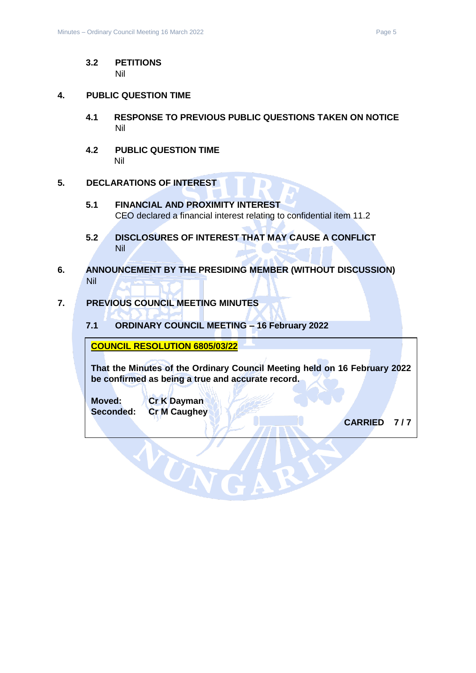#### <span id="page-4-0"></span>**3.2 PETITIONS** Nil

#### <span id="page-4-2"></span><span id="page-4-1"></span>**4. PUBLIC QUESTION TIME**

- **4.1 RESPONSE TO PREVIOUS PUBLIC QUESTIONS TAKEN ON NOTICE** Nil
- <span id="page-4-3"></span>**4.2 PUBLIC QUESTION TIME** Nil

#### <span id="page-4-5"></span><span id="page-4-4"></span>**5. DECLARATIONS OF INTEREST**

- **5.1 FINANCIAL AND PROXIMITY INTEREST** CEO declared a financial interest relating to confidential item 11.2
- <span id="page-4-6"></span>**5.2 DISCLOSURES OF INTEREST THAT MAY CAUSE A CONFLICT** Nil
- <span id="page-4-7"></span>**6. ANNOUNCEMENT BY THE PRESIDING MEMBER (WITHOUT DISCUSSION)** Nil

# <span id="page-4-9"></span><span id="page-4-8"></span>**7. PREVIOUS COUNCIL MEETING MINUTES**

**7.1 ORDINARY COUNCIL MEETING – 16 February 2022**

**COUNCIL RESOLUTION 6805/03/22** 

VON

**That the Minutes of the Ordinary Council Meeting held on 16 February 2022 be confirmed as being a true and accurate record.**

**Moved: Cr K Dayman Seconded: Cr M Caughey**

**CARRIED 7 / 7**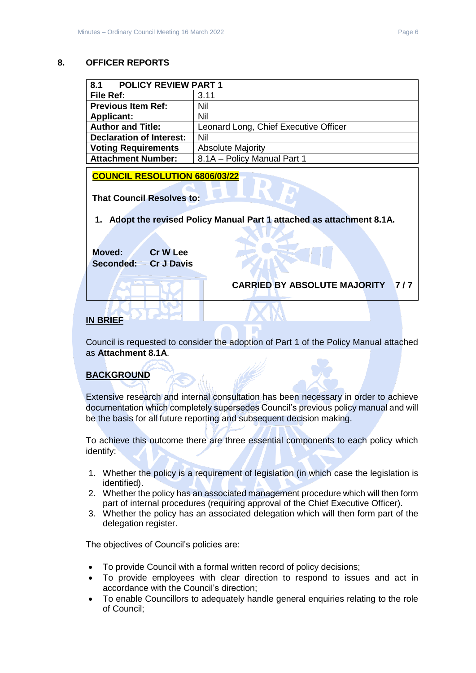#### <span id="page-5-0"></span>**8. OFFICER REPORTS**

<span id="page-5-1"></span>

| 8.1<br><b>POLICY REVIEW PART 1</b> |                                       |  |
|------------------------------------|---------------------------------------|--|
| <b>File Ref:</b>                   | 3.11                                  |  |
| <b>Previous Item Ref:</b>          | Nil                                   |  |
| <b>Applicant:</b>                  | Nil                                   |  |
| <b>Author and Title:</b>           | Leonard Long, Chief Executive Officer |  |
| <b>Declaration of Interest:</b>    | Nil                                   |  |
| <b>Voting Requirements</b>         | <b>Absolute Majority</b>              |  |
| <b>Attachment Number:</b>          | 8.1A - Policy Manual Part 1           |  |

**COUNCIL RESOLUTION 6806/03/22** 

**That Council Resolves to:**

**1. Adopt the revised Policy Manual Part 1 attached as attachment 8.1A.**

**Moved: Cr W Lee Seconded: Cr J Davis**

**CARRIED BY ABSOLUTE MAJORITY 7 / 7** 

# **IN BRIEF**

Council is requested to consider the adoption of Part 1 of the Policy Manual attached as **Attachment 8.1A**.

# **BACKGROUND**

Extensive research and internal consultation has been necessary in order to achieve documentation which completely supersedes Council's previous policy manual and will be the basis for all future reporting and subsequent decision making.

To achieve this outcome there are three essential components to each policy which identify:

- 1. Whether the policy is a requirement of legislation (in which case the legislation is identified).
- 2. Whether the policy has an associated management procedure which will then form part of internal procedures (requiring approval of the Chief Executive Officer).
- 3. Whether the policy has an associated delegation which will then form part of the delegation register.

The objectives of Council's policies are:

- To provide Council with a formal written record of policy decisions;
- To provide employees with clear direction to respond to issues and act in accordance with the Council's direction;
- To enable Councillors to adequately handle general enquiries relating to the role of Council;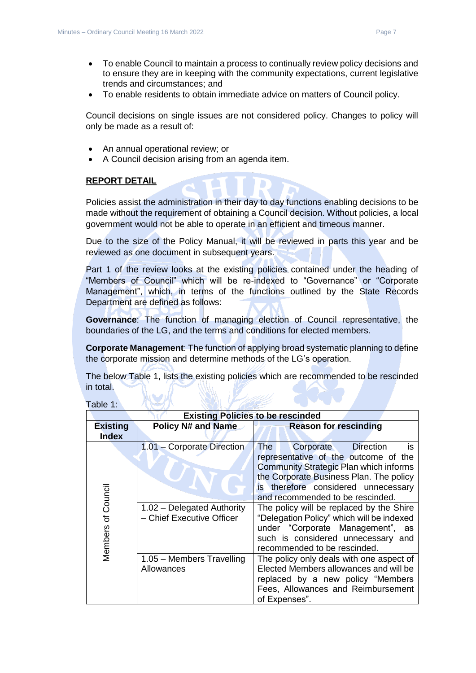- To enable Council to maintain a process to continually review policy decisions and to ensure they are in keeping with the community expectations, current legislative trends and circumstances; and
- To enable residents to obtain immediate advice on matters of Council policy.

Council decisions on single issues are not considered policy. Changes to policy will only be made as a result of:

- An annual operational review; or
- A Council decision arising from an agenda item.

# **REPORT DETAIL**

Policies assist the administration in their day to day functions enabling decisions to be made without the requirement of obtaining a Council decision. Without policies, a local government would not be able to operate in an efficient and timeous manner.

Due to the size of the Policy Manual, it will be reviewed in parts this year and be reviewed as one document in subsequent years.

Part 1 of the review looks at the existing policies contained under the heading of "Members of Council" which will be re-indexed to "Governance" or "Corporate Management", which, in terms of the functions outlined by the State Records Department are defined as follows:

**Governance**: The function of managing election of Council representative, the boundaries of the LG, and the terms and conditions for elected members.

**Corporate Management**: The function of applying broad systematic planning to define the corporate mission and determine methods of the LG's operation.

The below Table 1, lists the existing policies which are recommended to be rescinded in total.

| <b>Existing Policies to be rescinded</b> |                                                         |                                                                                                                                                                                                                                                                  |  |  |
|------------------------------------------|---------------------------------------------------------|------------------------------------------------------------------------------------------------------------------------------------------------------------------------------------------------------------------------------------------------------------------|--|--|
| <b>Existing</b><br><b>Index</b>          | <b>Policy N# and Name</b>                               | <b>Reason for rescinding</b>                                                                                                                                                                                                                                     |  |  |
| of Council                               | 1.01 - Corporate Direction                              | <b>The</b><br><b>Direction</b><br>Corporate<br>is<br>representative of the outcome of the<br><b>Community Strategic Plan which informs</b><br>the Corporate Business Plan. The policy<br>is therefore considered unnecessary<br>and recommended to be rescinded. |  |  |
| Members                                  | 1.02 - Delegated Authority<br>- Chief Executive Officer | The policy will be replaced by the Shire<br>"Delegation Policy" which will be indexed<br>under "Corporate Management", as<br>such is considered unnecessary and<br>recommended to be rescinded.                                                                  |  |  |
|                                          | 1.05 - Members Travelling<br>Allowances                 | The policy only deals with one aspect of<br>Elected Members allowances and will be<br>replaced by a new policy "Members<br>Fees, Allowances and Reimbursement<br>of Expenses".                                                                                   |  |  |

Table 1: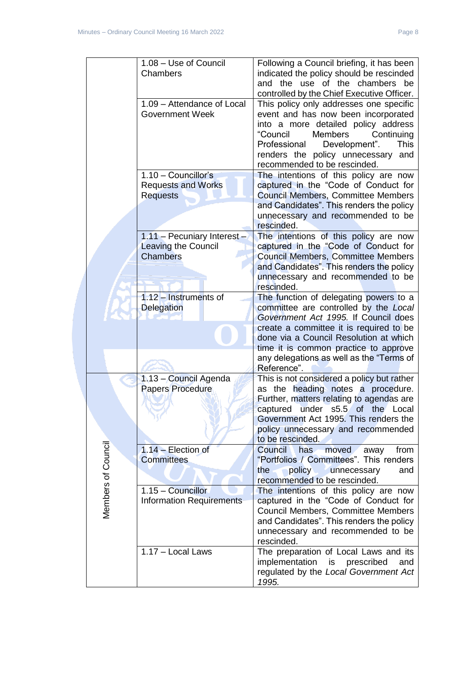|                    | 1.08 - Use of Council<br>Chambers                                            | Following a Council briefing, it has been<br>indicated the policy should be rescinded<br>and the use of the chambers be<br>controlled by the Chief Executive Officer.                                                                                                                             |
|--------------------|------------------------------------------------------------------------------|---------------------------------------------------------------------------------------------------------------------------------------------------------------------------------------------------------------------------------------------------------------------------------------------------|
|                    | 1.09 - Attendance of Local<br><b>Government Week</b>                         | This policy only addresses one specific<br>event and has now been incorporated<br>into a more detailed policy address<br>"Council<br><b>Members</b><br>Continuing<br>Professional<br>Development".<br><b>This</b><br>renders the policy unnecessary<br>and<br>recommended to be rescinded.        |
|                    | $1.10 -$ Councillor's<br><b>Requests and Works</b><br><b>Requests</b>        | The intentions of this policy are now<br>captured in the "Code of Conduct for<br><b>Council Members, Committee Members</b><br>and Candidates". This renders the policy<br>unnecessary and recommended to be<br>rescinded.                                                                         |
|                    | 1.11 - Pecuniary Interest -<br><b>Leaving the Council</b><br><b>Chambers</b> | The intentions of this policy are now<br>captured in the "Code of Conduct for<br><b>Council Members, Committee Members</b><br>and Candidates". This renders the policy<br>unnecessary and recommended to be<br>rescinded.                                                                         |
|                    | 1.12 - Instruments of<br><b>Delegation</b>                                   | The function of delegating powers to a<br>committee are controlled by the Local<br>Government Act 1995. If Council does<br>create a committee it is required to be<br>done via a Council Resolution at which<br>time it is common practice to approve<br>any delegations as well as the "Terms of |
|                    | 1.13 - Council Agenda<br><b>Papers Procedure</b>                             | Reference".<br>This is not considered a policy but rather<br>as the heading notes a procedure.<br>Further, matters relating to agendas are<br>under s5.5 of the Local<br>captured<br>Government Act 1995. This renders the<br>policy unnecessary and recommended<br>to be rescinded.              |
| Members of Council | $1.14$ - Election of<br><b>Committees</b>                                    | Council<br>has<br>moved<br>from<br>away<br>"Portfolios / Committees". This renders<br>policy<br>unnecessary<br>the<br>and<br>recommended to be rescinded.                                                                                                                                         |
|                    | 1.15 - Councillor<br><b>Information Requirements</b>                         | The intentions of this policy are now<br>captured in the "Code of Conduct for<br>Council Members, Committee Members<br>and Candidates". This renders the policy<br>unnecessary and recommended to be<br>rescinded.                                                                                |
|                    | 1.17 - Local Laws                                                            | The preparation of Local Laws and its<br>implementation<br>prescribed<br>is<br>and<br>regulated by the Local Government Act<br>1995.                                                                                                                                                              |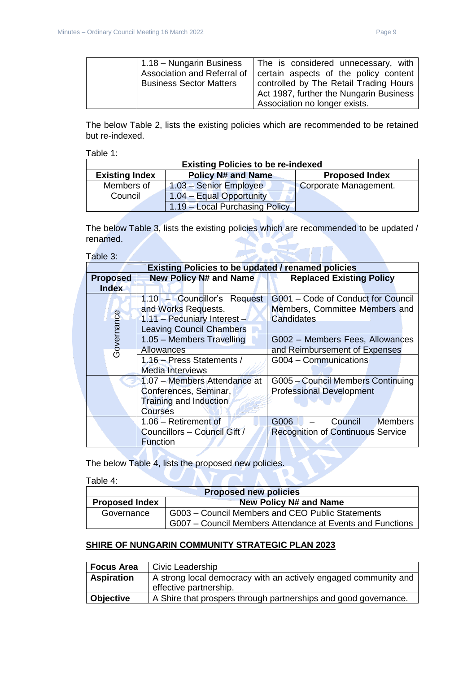| 1.18 – Nungarin Business           | The is considered unnecessary, with     |
|------------------------------------|-----------------------------------------|
| <b>Association and Referral of</b> | certain aspects of the policy content   |
| <b>Business Sector Matters</b>     | controlled by The Retail Trading Hours  |
|                                    | Act 1987, further the Nungarin Business |
|                                    | Association no longer exists.           |

The below Table 2, lists the existing policies which are recommended to be retained but re-indexed.

Table 1:

| <b>Existing Policies to be re-indexed</b> |                                |                       |  |  |
|-------------------------------------------|--------------------------------|-----------------------|--|--|
| <b>Existing Index</b>                     | <b>Policy N# and Name</b>      | <b>Proposed Index</b> |  |  |
| Members of                                | 1.03 - Senior Employee         | Corporate Management. |  |  |
| Council                                   | 1.04 - Equal Opportunity       |                       |  |  |
|                                           | 1.19 - Local Purchasing Policy |                       |  |  |

The below Table 3, lists the existing policies which are recommended to be updated / renamed. 3

Table 3:

| <b>Existing Policies to be updated / renamed policies</b> |                                 |                                          |  |
|-----------------------------------------------------------|---------------------------------|------------------------------------------|--|
| <b>Proposed</b>                                           | <b>New Policy N# and Name</b>   | <b>Replaced Existing Policy</b>          |  |
| <b>Index</b>                                              |                                 |                                          |  |
|                                                           | 1.10 - Councillor's Request     | G001 - Code of Conduct for Council       |  |
|                                                           | and Works Requests.             | Members, Committee Members and           |  |
|                                                           | 1.11 - Pecuniary Interest -     | Candidates                               |  |
|                                                           | <b>Leaving Council Chambers</b> |                                          |  |
|                                                           | 1.05 - Members Travelling       | G002 - Members Fees, Allowances          |  |
| Governance                                                | <b>Allowances</b>               | and Reimbursement of Expenses            |  |
|                                                           | 1.16 - Press Statements /       | G004 - Communications                    |  |
|                                                           | Media Interviews                |                                          |  |
|                                                           | 1.07 - Members Attendance at    | G005 - Council Members Continuing        |  |
|                                                           | Conferences, Seminar,           | <b>Professional Development</b>          |  |
|                                                           | Training and Induction          |                                          |  |
| <b>Courses</b>                                            |                                 |                                          |  |
|                                                           | 1.06 - Retirement of            | G006<br>Council<br><b>Members</b>        |  |
|                                                           | Councillors - Council Gift /    | <b>Recognition of Continuous Service</b> |  |
|                                                           | <b>Function</b>                 |                                          |  |

The below Table 4, lists the proposed new policies.

Table 4:

| <b>Proposed new policies</b> |                                                           |  |
|------------------------------|-----------------------------------------------------------|--|
| <b>Proposed Index</b>        | <b>New Policy N# and Name</b>                             |  |
| Governance                   | G003 – Council Members and CEO Public Statements          |  |
|                              | G007 – Council Members Attendance at Events and Functions |  |

# **SHIRE OF NUNGARIN COMMUNITY STRATEGIC PLAN 2023**

| <b>Focus Area</b>                                                                    | Civic Leadership                                                |
|--------------------------------------------------------------------------------------|-----------------------------------------------------------------|
| A strong local democracy with an actively engaged community and<br><b>Aspiration</b> |                                                                 |
|                                                                                      | effective partnership.                                          |
| <b>Objective</b>                                                                     | A Shire that prospers through partnerships and good governance. |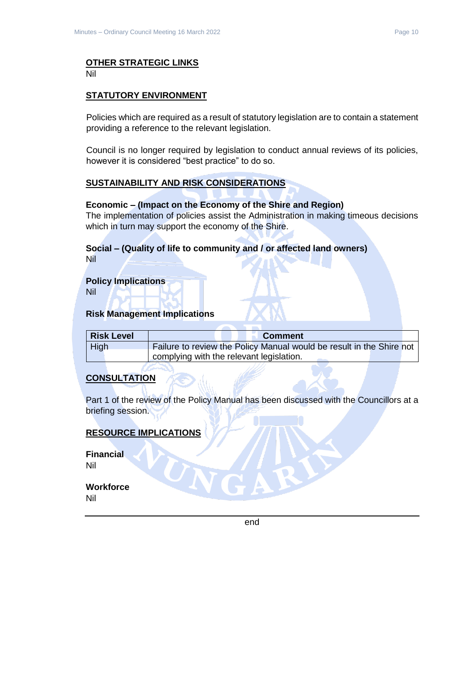# **OTHER STRATEGIC LINKS**

Nil

#### **STATUTORY ENVIRONMENT**

Policies which are required as a result of statutory legislation are to contain a statement providing a reference to the relevant legislation.

Council is no longer required by legislation to conduct annual reviews of its policies, however it is considered "best practice" to do so.

#### **SUSTAINABILITY AND RISK CONSIDERATIONS**

#### **Economic – (Impact on the Economy of the Shire and Region)**

The implementation of policies assist the Administration in making timeous decisions which in turn may support the economy of the Shire.

#### **Social – (Quality of life to community and / or affected land owners)** Nil

**Policy Implications**

Nil

#### **Risk Management Implications**

| Risk Level | <b>Comment</b>                                                       |  |
|------------|----------------------------------------------------------------------|--|
| High       | Failure to review the Policy Manual would be result in the Shire not |  |
|            | complying with the relevant legislation.                             |  |

# **CONSULTATION**

Part 1 of the review of the Policy Manual has been discussed with the Councillors at a briefing session.

# **RESOURCE IMPLICATIONS**

**Financial** Nil

**Workforce** Nil

end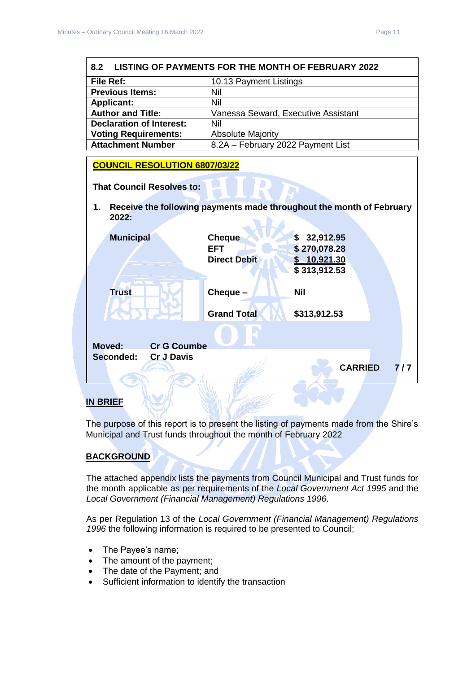<span id="page-10-0"></span>

| <b>LISTING OF PAYMENTS FOR THE MONTH OF FEBRUARY 2022</b><br>8.2                                                        |                                                                                                                      |  |  |
|-------------------------------------------------------------------------------------------------------------------------|----------------------------------------------------------------------------------------------------------------------|--|--|
| <b>File Ref:</b>                                                                                                        | 10.13 Payment Listings                                                                                               |  |  |
| <b>Previous Items:</b>                                                                                                  | Nil                                                                                                                  |  |  |
| <b>Applicant:</b>                                                                                                       | Nil                                                                                                                  |  |  |
| <b>Author and Title:</b>                                                                                                | Vanessa Seward, Executive Assistant                                                                                  |  |  |
| <b>Declaration of Interest:</b>                                                                                         | Nil                                                                                                                  |  |  |
| <b>Voting Requirements:</b>                                                                                             | <b>Absolute Majority</b>                                                                                             |  |  |
| <b>Attachment Number</b>                                                                                                | 8.2A - February 2022 Payment List                                                                                    |  |  |
| <b>COUNCIL RESOLUTION 6807/03/22</b>                                                                                    |                                                                                                                      |  |  |
| <b>That Council Resolves to:</b><br>Receive the following payments made throughout the month of February<br>1.<br>2022: |                                                                                                                      |  |  |
| <b>Municipal</b>                                                                                                        | 32,912.95<br><b>Cheque</b><br>\$<br>\$270,078.28<br><b>EFT</b><br><b>Direct Debit</b><br>\$10,921.30<br>\$313,912.53 |  |  |
| <b>Trust</b>                                                                                                            | Cheque -<br><b>Nil</b><br><b>Grand Total</b><br>\$313,912.53                                                         |  |  |
| <b>Moved:</b><br><b>Cr G Coumbe</b><br>Seconded:<br><b>Cr J Davis</b>                                                   | <b>CARRIED</b><br>7/7                                                                                                |  |  |
|                                                                                                                         |                                                                                                                      |  |  |

# **IN BRIEF**

The purpose of this report is to present the listing of payments made from the Shire's Municipal and Trust funds throughout the month of February 2022

**COLOR** 

# **BACKGROUND**

The attached appendix lists the payments from Council Municipal and Trust funds for the month applicable as per requirements of the *Local Government Act 1995* and the *Local Government (Financial Management) Regulations 1996*.

As per Regulation 13 of the *Local Government (Financial Management) Regulations 1996* the following information is required to be presented to Council;

- The Payee's name;
- The amount of the payment;
- The date of the Payment; and
- Sufficient information to identify the transaction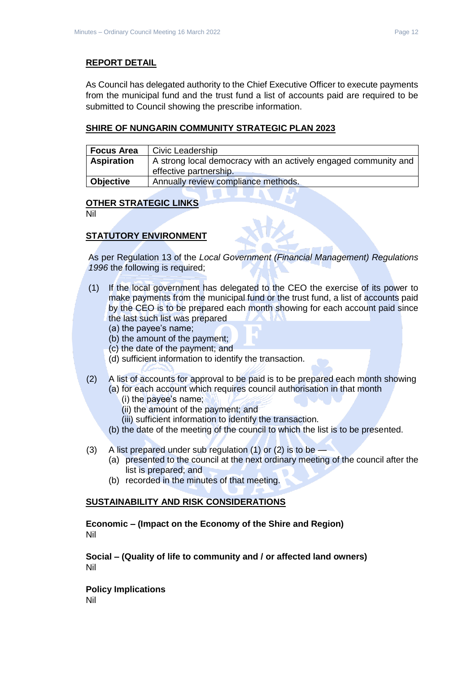#### **REPORT DETAIL**

As Council has delegated authority to the Chief Executive Officer to execute payments from the municipal fund and the trust fund a list of accounts paid are required to be submitted to Council showing the prescribe information.

#### **SHIRE OF NUNGARIN COMMUNITY STRATEGIC PLAN 2023**

| <b>Focus Area</b> | Civic Leadership                                                                          |
|-------------------|-------------------------------------------------------------------------------------------|
| <b>Aspiration</b> | A strong local democracy with an actively engaged community and<br>effective partnership. |
| Objective         | Annually review compliance methods.                                                       |

#### **OTHER STRATEGIC LINKS**

Nil

# **STATUTORY ENVIRONMENT**

As per Regulation 13 of the *Local Government (Financial Management) Regulations 1996* the following is required;

- (1) If the local government has delegated to the CEO the exercise of its power to make payments from the municipal fund or the trust fund, a list of accounts paid by the CEO is to be prepared each month showing for each account paid since the last such list was prepared
	- (a) the payee's name;
	- (b) the amount of the payment;
	- (c) the date of the payment; and
	- (d) sufficient information to identify the transaction.
- (2) A list of accounts for approval to be paid is to be prepared each month showing (a) for each account which requires council authorisation in that month
	- (i) the payee's name;
	- (ii) the amount of the payment; and
	- (iii) sufficient information to identify the transaction.
	- (b) the date of the meeting of the council to which the list is to be presented.
- (3) A list prepared under sub regulation (1) or (2) is to be
	- (a) presented to the council at the next ordinary meeting of the council after the list is prepared; and
	- (b) recorded in the minutes of that meeting.

#### **SUSTAINABILITY AND RISK CONSIDERATIONS**

**Economic – (Impact on the Economy of the Shire and Region)** Nil

**Social – (Quality of life to community and / or affected land owners)** Nil

**Policy Implications** Nil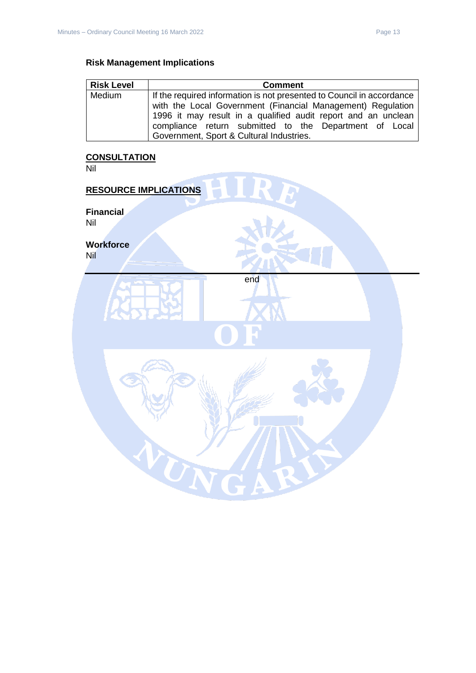# **Risk Management Implications**

| <b>Risk Level</b> | <b>Comment</b>                                                        |
|-------------------|-----------------------------------------------------------------------|
| Medium            | If the required information is not presented to Council in accordance |
|                   | with the Local Government (Financial Management) Regulation           |
|                   | 1996 it may result in a qualified audit report and an unclean         |
|                   | compliance return submitted to the Department of Local                |
|                   | Government, Sport & Cultural Industries.                              |

#### **CONSULTATION**

Nil

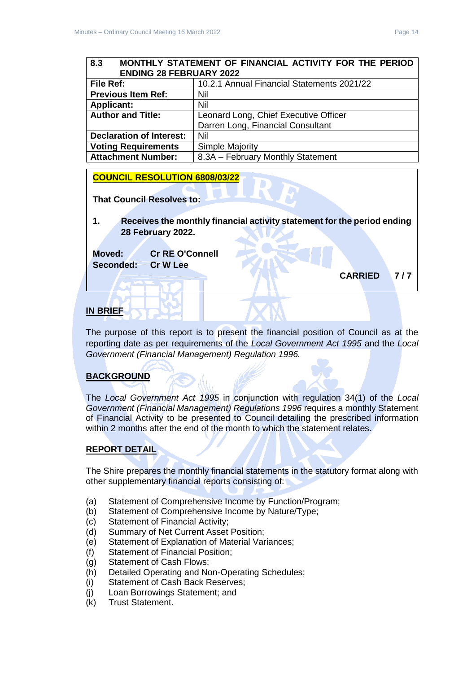# <span id="page-13-0"></span>**8.3 MONTHLY STATEMENT OF FINANCIAL ACTIVITY FOR THE PERIOD ENDING 28 FEBRUARY 2022**

| File Ref:                       | 10.2.1 Annual Financial Statements 2021/22 |
|---------------------------------|--------------------------------------------|
| <b>Previous Item Ref:</b>       | Nil                                        |
| <b>Applicant:</b>               | Nil                                        |
| <b>Author and Title:</b>        | Leonard Long, Chief Executive Officer      |
|                                 | Darren Long, Financial Consultant          |
| <b>Declaration of Interest:</b> | Nil                                        |
| <b>Voting Requirements</b>      | Simple Majority                            |
| <b>Attachment Number:</b>       | 8.3A - February Monthly Statement          |

# **COUNCIL RESOLUTION 6808/03/22**

**That Council Resolves to:** 

**1. Receives the monthly financial activity statement for the period ending 28 February 2022.**

**Moved: Cr RE O'Connell Seconded: Cr W Lee**

**CARRIED 7 / 7** 

# **IN BRIEF**

The purpose of this report is to present the financial position of Council as at the reporting date as per requirements of the *Local Government Act 1995* and the *Local Government (Financial Management) Regulation 1996.*

# **BACKGROUND**

The *Local Government Act 1995* in conjunction with regulation 34(1) of the *Local Government (Financial Management) Regulations 1996* requires a monthly Statement of Financial Activity to be presented to Council detailing the prescribed information within 2 months after the end of the month to which the statement relates.

# **REPORT DETAIL**

The Shire prepares the monthly financial statements in the statutory format along with other supplementary financial reports consisting of:

- (a) Statement of Comprehensive Income by Function/Program;
- (b) Statement of Comprehensive Income by Nature/Type;
- (c) Statement of Financial Activity;
- (d) Summary of Net Current Asset Position;
- (e) Statement of Explanation of Material Variances;
- (f) Statement of Financial Position;
- (g) Statement of Cash Flows;
- (h) Detailed Operating and Non-Operating Schedules;
- (i) Statement of Cash Back Reserves;
- (j) Loan Borrowings Statement; and
- (k) Trust Statement.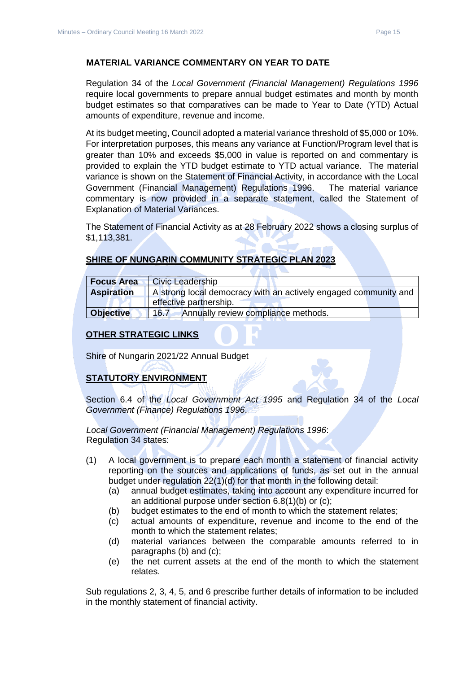#### **MATERIAL VARIANCE COMMENTARY ON YEAR TO DATE**

Regulation 34 of the *Local Government (Financial Management) Regulations 1996*  require local governments to prepare annual budget estimates and month by month budget estimates so that comparatives can be made to Year to Date (YTD) Actual amounts of expenditure, revenue and income.

At its budget meeting, Council adopted a material variance threshold of \$5,000 or 10%. For interpretation purposes, this means any variance at Function/Program level that is greater than 10% and exceeds \$5,000 in value is reported on and commentary is provided to explain the YTD budget estimate to YTD actual variance. The material variance is shown on the Statement of Financial Activity, in accordance with the Local Government (Financial Management) Regulations 1996. The material variance commentary is now provided in a separate statement, called the Statement of Explanation of Material Variances.

The Statement of Financial Activity as at 28 February 2022 shows a closing surplus of \$1,113,381.

# **SHIRE OF NUNGARIN COMMUNITY STRATEGIC PLAN 2023**

| <b>Focus Area</b> | <b>Civic Leadership</b>                                         |  |
|-------------------|-----------------------------------------------------------------|--|
| <b>Aspiration</b> | A strong local democracy with an actively engaged community and |  |
|                   | effective partnership.                                          |  |
| <b>Objective</b>  | Annually review compliance methods.<br>16.7                     |  |

# **OTHER STRATEGIC LINKS**

Shire of Nungarin 2021/22 Annual Budget

# **STATUTORY ENVIRONMENT**

Section 6.4 of the *Local Government Act 1995* and Regulation 34 of the *Local Government (Finance) Regulations 1996*.

*Local Government (Financial Management) Regulations 1996*: Regulation 34 states:

- (1) A local government is to prepare each month a statement of financial activity reporting on the sources and applications of funds, as set out in the annual budget under regulation 22(1)(d) for that month in the following detail:
	- (a) annual budget estimates, taking into account any expenditure incurred for an additional purpose under section 6.8(1)(b) or (c);
	- (b) budget estimates to the end of month to which the statement relates;
	- (c) actual amounts of expenditure, revenue and income to the end of the month to which the statement relates;
	- (d) material variances between the comparable amounts referred to in paragraphs (b) and (c);
	- (e) the net current assets at the end of the month to which the statement relates.

Sub regulations 2, 3, 4, 5, and 6 prescribe further details of information to be included in the monthly statement of financial activity.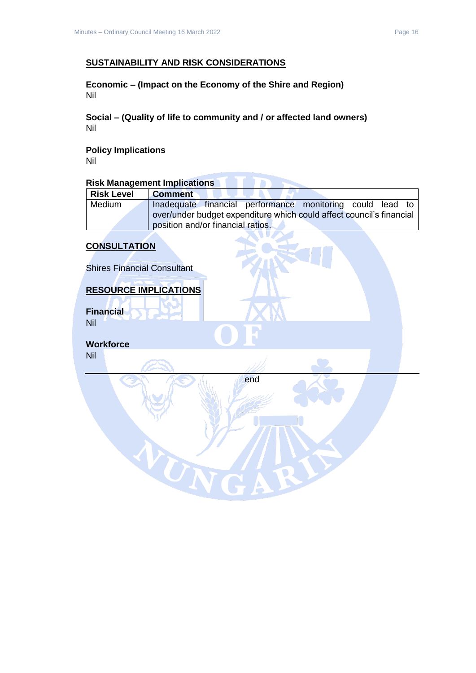#### **SUSTAINABILITY AND RISK CONSIDERATIONS**

**Economic – (Impact on the Economy of the Shire and Region)** Nil

**Social – (Quality of life to community and / or affected land owners)** Nil

**Policy Implications** Nil

# **Risk Management Implications**

| <b>Risk Level</b> | <b>Comment</b>                                                       |
|-------------------|----------------------------------------------------------------------|
| Medium            | Inadequate financial performance monitoring could lead to            |
|                   | over/under budget expenditure which could affect council's financial |
|                   | position and/or financial ratios.                                    |

# **CONSULTATION**

Shires Financial Consultant

#### **RESOURCE IMPLICATIONS**

UN

**Financial** Nil

**Workforce** Nil

end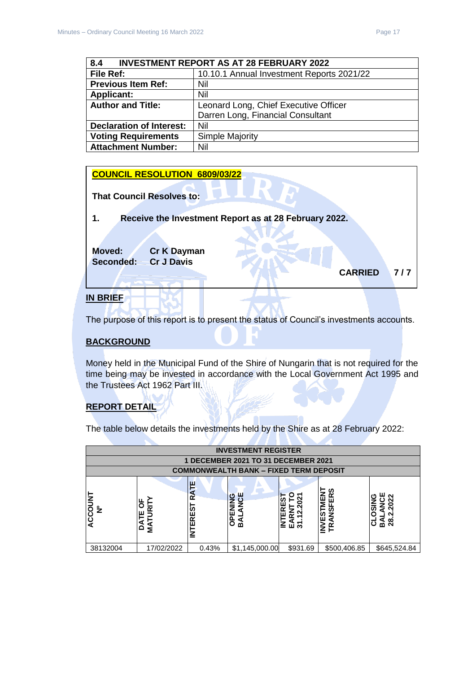<span id="page-16-0"></span>

| <b>INVESTMENT REPORT AS AT 28 FEBRUARY 2022</b><br>8.4 |                                           |  |
|--------------------------------------------------------|-------------------------------------------|--|
| File Ref:                                              | 10.10.1 Annual Investment Reports 2021/22 |  |
| <b>Previous Item Ref:</b>                              | Nil                                       |  |
| <b>Applicant:</b>                                      | Nil                                       |  |
| <b>Author and Title:</b>                               | Leonard Long, Chief Executive Officer     |  |
|                                                        | Darren Long, Financial Consultant         |  |
| <b>Declaration of Interest:</b>                        | Nil                                       |  |
| <b>Voting Requirements</b>                             | Simple Majority                           |  |
| <b>Attachment Number:</b>                              | Nil                                       |  |



The purpose of this report is to present the status of Council's investments accounts.

#### **BACKGROUND**

Money held in the Municipal Fund of the Shire of Nungarin that is not required for the time being may be invested in accordance with the Local Government Act 1995 and the Trustees Act 1962 Part III.

# **REPORT DETAIL**

The table below details the investments held by the Shire as at 28 February 2022:

| <b>INVESTMENT REGISTER</b> |                                 |                                |                                                  |          |                                                |                                        |
|----------------------------|---------------------------------|--------------------------------|--------------------------------------------------|----------|------------------------------------------------|----------------------------------------|
|                            |                                 |                                | 1 DECEMBER 2021 TO 31 DECEMBER 2021              |          |                                                |                                        |
|                            |                                 |                                | <b>COMMONWEALTH BANK - FIXED TERM DEPOSIT</b>    |          |                                                |                                        |
| ACCOUNT<br>$\frac{9}{2}$   | щ<br>C<br>$\sim$<br>ш<br>δ<br>≨ | ٣<br>œ<br>EST<br><b>INTERI</b> | <b>NCE</b><br>O<br>ш<br>$\overline{6}$<br>⋖<br>m | z<br>교원  | ທ<br>≃<br>ш<br>ທ<br><b>TS31</b><br>z<br>₫<br>같 | <b>OS</b><br>$\overline{28}$<br>ه<br>∞ |
| 38132004                   | 17/02/2022                      | 0.43%                          | \$1,145,000.00                                   | \$931.69 | \$500,406.85                                   | \$645,524.84                           |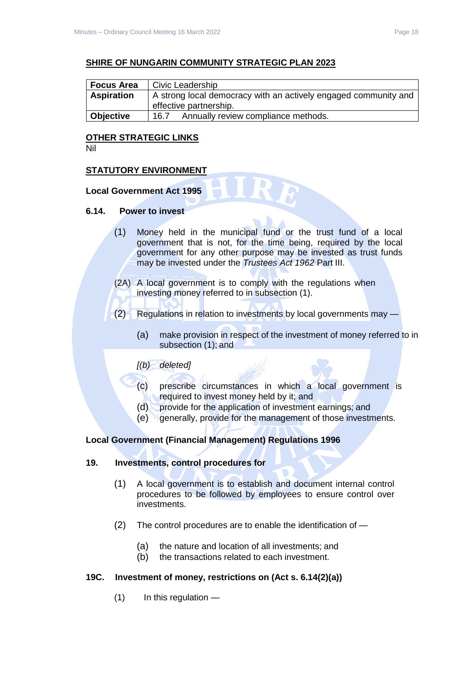#### **SHIRE OF NUNGARIN COMMUNITY STRATEGIC PLAN 2023**

| <b>Focus Area</b> | Civic Leadership                                                |  |  |
|-------------------|-----------------------------------------------------------------|--|--|
| <b>Aspiration</b> | A strong local democracy with an actively engaged community and |  |  |
|                   | effective partnership.                                          |  |  |
| <b>Objective</b>  | Annually review compliance methods.<br>16.7                     |  |  |

#### **OTHER STRATEGIC LINKS**

Nil

#### **STATUTORY ENVIRONMENT**

#### **Local Government Act 1995**

#### **6.14. Power to invest**

- (1) Money held in the municipal fund or the trust fund of a local government that is not, for the time being, required by the local government for any other purpose may be invested as trust funds may be invested under the *Trustees Act 1962* Part III.
- (2A) A local government is to comply with the regulations when investing money referred to in subsection (1).
- (2) Regulations in relation to investments by local governments may
	- (a) make provision in respect of the investment of money referred to in subsection (1); and

#### *[(b) deleted]*

- (c) prescribe circumstances in which a local government is required to invest money held by it; and
- (d) provide for the application of investment earnings; and
- (e) generally, provide for the management of those investments.

#### **Local Government (Financial Management) Regulations 1996**

#### **19. Investments, control procedures for**

- (1) A local government is to establish and document internal control procedures to be followed by employees to ensure control over investments.
- (2) The control procedures are to enable the identification of
	- (a) the nature and location of all investments; and
	- (b) the transactions related to each investment.

#### **19C. Investment of money, restrictions on (Act s. 6.14(2)(a))**

 $(1)$  In this regulation —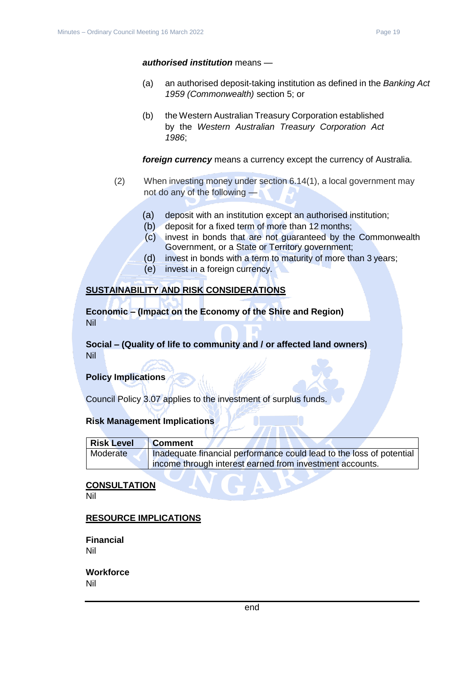#### *authorised institution* means —

- (a) an authorised deposit-taking institution as defined in the *Banking Act 1959 (Commonwealth)* section 5; or
- (b) the Western Australian Treasury Corporation established by the *Western Australian Treasury Corporation Act 1986*;

*foreign currency* means a currency except the currency of Australia.

- (2) When investing money under section 6.14(1), a local government may not do any of the following —
	- (a) deposit with an institution except an authorised institution;
	- (b) deposit for a fixed term of more than 12 months;
	- (c) invest in bonds that are not guaranteed by the Commonwealth Government, or a State or Territory government;
	- (d) invest in bonds with a term to maturity of more than 3 years;
	- (e) invest in a foreign currency.

#### **SUSTAINABILITY AND RISK CONSIDERATIONS**

**Economic – (Impact on the Economy of the Shire and Region)** Nil

# **Social – (Quality of life to community and / or affected land owners)** Nil

#### **Policy Implications**

Council Policy 3.07 applies to the investment of surplus funds.

#### **Risk Management Implications**

| Risk Level | <b>Comment</b>                                                       |
|------------|----------------------------------------------------------------------|
| Moderate   | Inadequate financial performance could lead to the loss of potential |
|            | income through interest earned from investment accounts.             |

#### **CONSULTATION**

Nil

#### **RESOURCE IMPLICATIONS**

**Financial** Nil

#### **Workforce** Nil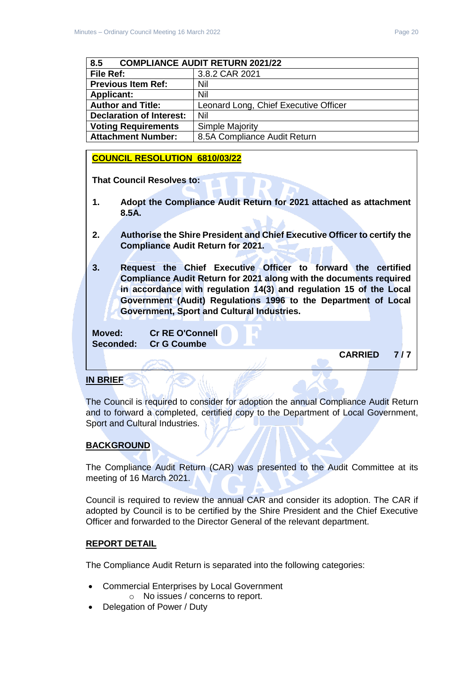<span id="page-19-0"></span>

| 8.5<br><b>COMPLIANCE AUDIT RETURN 2021/22</b> |                                       |  |
|-----------------------------------------------|---------------------------------------|--|
| File Ref:                                     | 3.8.2 CAR 2021                        |  |
| <b>Previous Item Ref:</b>                     | Nil                                   |  |
| <b>Applicant:</b>                             | Nil                                   |  |
| <b>Author and Title:</b>                      | Leonard Long, Chief Executive Officer |  |
| <b>Declaration of Interest:</b>               | Nil                                   |  |
| <b>Voting Requirements</b>                    | <b>Simple Majority</b>                |  |
| <b>Attachment Number:</b>                     | 8.5A Compliance Audit Return          |  |

#### **COUNCIL RESOLUTION 6810/03/22**

**That Council Resolves to:** 

- **1. Adopt the Compliance Audit Return for 2021 attached as attachment 8.5A.**
- **2. Authorise the Shire President and Chief Executive Officer to certify the Compliance Audit Return for 2021.**
- **3. Request the Chief Executive Officer to forward the certified Compliance Audit Return for 2021 along with the documents required in accordance with regulation 14(3) and regulation 15 of the Local Government (Audit) Regulations 1996 to the Department of Local Government, Sport and Cultural Industries.**

**Moved: Cr RE O'Connell Seconded: Cr G Coumbe**

**CARRIED 7 / 7** 

#### **IN BRIEF**

The Council is required to consider for adoption the annual Compliance Audit Return and to forward a completed, certified copy to the Department of Local Government, Sport and Cultural Industries.

# **BACKGROUND**

The Compliance Audit Return (CAR) was presented to the Audit Committee at its meeting of 16 March 2021.

Council is required to review the annual CAR and consider its adoption. The CAR if adopted by Council is to be certified by the Shire President and the Chief Executive Officer and forwarded to the Director General of the relevant department.

#### **REPORT DETAIL**

The Compliance Audit Return is separated into the following categories:

- Commercial Enterprises by Local Government
	- o No issues / concerns to report.
- Delegation of Power / Duty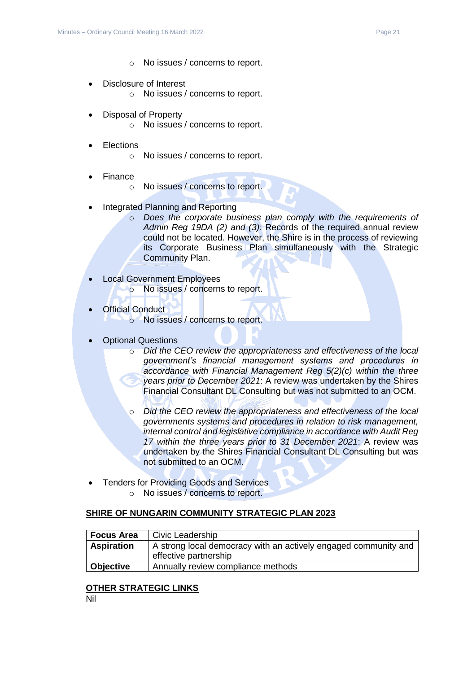- o No issues / concerns to report.
- Disclosure of Interest o No issues / concerns to report.
- Disposal of Property
	- o No issues / concerns to report.
- **Elections** 
	- o No issues / concerns to report.
- Finance
	- o No issues / concerns to report.
- Integrated Planning and Reporting
	- o *Does the corporate business plan comply with the requirements of Admin Reg 19DA (2) and (3):* Records of the required annual review could not be located. However, the Shire is in the process of reviewing its Corporate Business Plan simultaneously with the Strategic Community Plan.
- Local Government Employees o No issues / concerns to report.
- **Official Conduct** o No issues / concerns to report.
- Optional Questions
	- o *Did the CEO review the appropriateness and effectiveness of the local government's financial management systems and procedures in accordance with Financial Management Reg 5(2)(c) within the three years prior to December 2021*: A review was undertaken by the Shires Financial Consultant DL Consulting but was not submitted to an OCM.
	- o *Did the CEO review the appropriateness and effectiveness of the local governments systems and procedures in relation to risk management, internal control and legislative compliance in accordance with Audit Reg 17 within the three years prior to 31 December 2021*: A review was undertaken by the Shires Financial Consultant DL Consulting but was not submitted to an OCM.
- Tenders for Providing Goods and Services
	- o No issues / concerns to report.

# **SHIRE OF NUNGARIN COMMUNITY STRATEGIC PLAN 2023**

| Focus Area        | Civic Leadership                                                                         |
|-------------------|------------------------------------------------------------------------------------------|
| <b>Aspiration</b> | A strong local democracy with an actively engaged community and<br>effective partnership |
| Objective         | Annually review compliance methods                                                       |

# **OTHER STRATEGIC LINKS**

Nil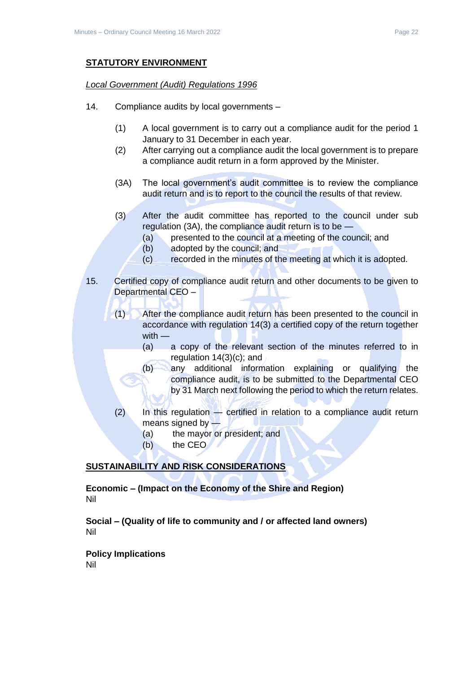# **STATUTORY ENVIRONMENT**

#### *Local Government (Audit) Regulations 1996*

- 14. Compliance audits by local governments
	- (1) A local government is to carry out a compliance audit for the period 1 January to 31 December in each year.
	- (2) After carrying out a compliance audit the local government is to prepare a compliance audit return in a form approved by the Minister.
	- (3A) The local government's audit committee is to review the compliance audit return and is to report to the council the results of that review.
	- (3) After the audit committee has reported to the council under sub regulation (3A), the compliance audit return is to be —
		- (a) presented to the council at a meeting of the council; and
		- (b) adopted by the council; and
		- (c) recorded in the minutes of the meeting at which it is adopted.
- 15. Certified copy of compliance audit return and other documents to be given to Departmental CEO –
	- (1) After the compliance audit return has been presented to the council in accordance with regulation 14(3) a certified copy of the return together with —
		- (a) a copy of the relevant section of the minutes referred to in regulation 14(3)(c); and
		- (b) any additional information explaining or qualifying the compliance audit, is to be submitted to the Departmental CEO by 31 March next following the period to which the return relates.
	- (2) In this regulation certified in relation to a compliance audit return means signed by —
		- (a) the mayor or president; and
		- (b) the CEO

# **SUSTAINABILITY AND RISK CONSIDERATIONS**

**Economic – (Impact on the Economy of the Shire and Region)** Nil

**Social – (Quality of life to community and / or affected land owners)** Nil

**Policy Implications**

Nil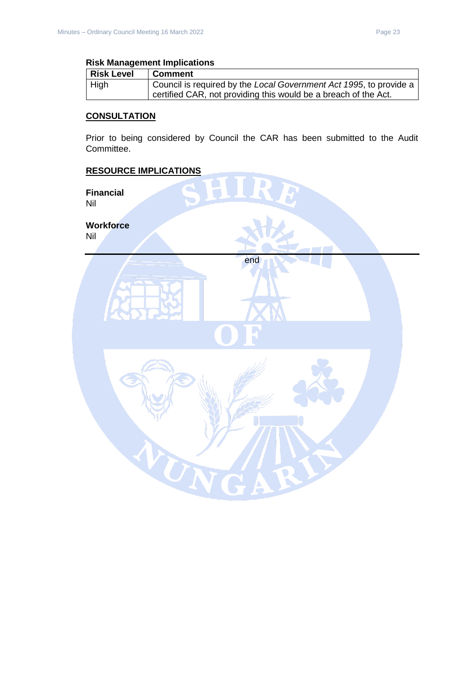#### **Risk Management Implications**

| <b>Risk Level</b> | <b>Comment</b>                                                     |
|-------------------|--------------------------------------------------------------------|
| $ $ High          | Council is required by the Local Government Act 1995, to provide a |
|                   | certified CAR, not providing this would be a breach of the Act.    |

# **CONSULTATION**

Prior to being considered by Council the CAR has been submitted to the Audit Committee.

end

UN

#### **RESOURCE IMPLICATIONS**

**Financial** Nil

**Workforce** Nil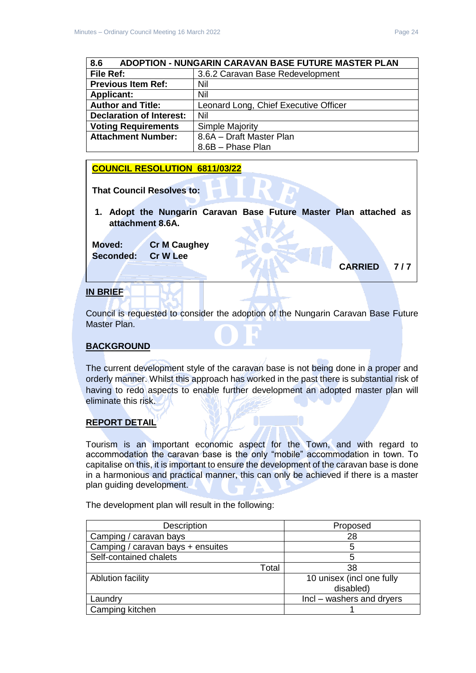<span id="page-23-0"></span>

| 8.6<br><b>ADOPTION - NUNGARIN CARAVAN BASE FUTURE MASTER PLAN</b> |                                       |  |
|-------------------------------------------------------------------|---------------------------------------|--|
| File Ref:                                                         | 3.6.2 Caravan Base Redevelopment      |  |
| <b>Previous Item Ref:</b>                                         | Nil                                   |  |
| <b>Applicant:</b>                                                 | Nil                                   |  |
| <b>Author and Title:</b>                                          | Leonard Long, Chief Executive Officer |  |
| <b>Declaration of Interest:</b>                                   | Nil                                   |  |
| <b>Voting Requirements</b>                                        | Simple Majority                       |  |
| <b>Attachment Number:</b>                                         | 8.6A - Draft Master Plan              |  |
|                                                                   | 8.6B - Phase Plan                     |  |

# **COUNCIL RESOLUTION 6811/03/22**

**That Council Resolves to:** 

**1. Adopt the Nungarin Caravan Base Future Master Plan attached as attachment 8.6A.**

**Moved: Cr M Caughey Seconded: Cr W Lee**

# **IN BRIEF**

Council is requested to consider the adoption of the Nungarin Caravan Base Future Master Plan.

# **BACKGROUND**

The current development style of the caravan base is not being done in a proper and orderly manner. Whilst this approach has worked in the past there is substantial risk of having to redo aspects to enable further development an adopted master plan will eliminate this risk.

# **REPORT DETAIL**

Tourism is an important economic aspect for the Town, and with regard to accommodation the caravan base is the only "mobile" accommodation in town. To capitalise on this, it is important to ensure the development of the caravan base is done in a harmonious and practical manner, this can only be achieved if there is a master plan guiding development.

The development plan will result in the following:

| Description                       | Proposed                  |
|-----------------------------------|---------------------------|
| Camping / caravan bays            | 28                        |
| Camping / caravan bays + ensuites | 5                         |
| Self-contained chalets            | 5                         |
| Total                             | 38                        |
| <b>Ablution facility</b>          | 10 unisex (incl one fully |
|                                   | disabled)                 |
| Laundry                           | Incl – washers and dryers |
| Camping kitchen                   |                           |

**CARRIED 7 / 7**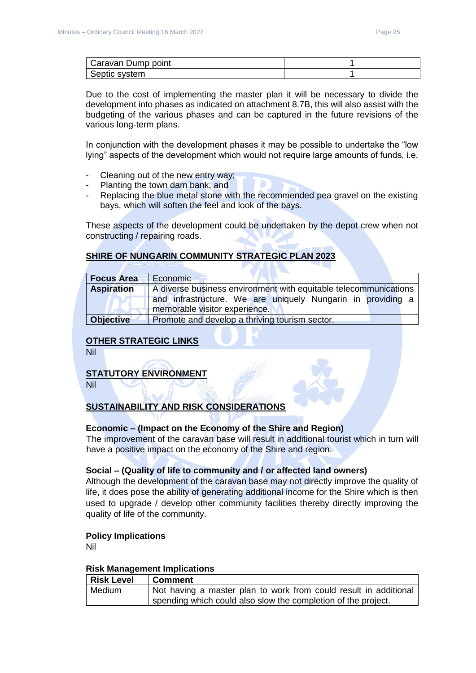| Caravan Dump point |  |
|--------------------|--|
| Septic system      |  |

Due to the cost of implementing the master plan it will be necessary to divide the development into phases as indicated on attachment 8.7B, this will also assist with the budgeting of the various phases and can be captured in the future revisions of the various long-term plans.

In conjunction with the development phases it may be possible to undertake the "low lying" aspects of the development which would not require large amounts of funds, i.e.

- Cleaning out of the new entry way;
- Planting the town dam bank; and
- Replacing the blue metal stone with the recommended pea gravel on the existing bays, which will soften the feel and look of the bays.

These aspects of the development could be undertaken by the depot crew when not constructing / repairing roads.

# **SHIRE OF NUNGARIN COMMUNITY STRATEGIC PLAN 2023**

| <b>Focus Area</b> | Economic                                                         |  |
|-------------------|------------------------------------------------------------------|--|
| <b>Aspiration</b> | A diverse business environment with equitable telecommunications |  |
|                   | and infrastructure. We are uniquely Nungarin in providing a      |  |
|                   | memorable visitor experience.                                    |  |
| <b>Objective</b>  | Promote and develop a thriving tourism sector.                   |  |

# **OTHER STRATEGIC LINKS**

Nil

#### **STATUTORY ENVIRONMENT**

Nil

# **SUSTAINABILITY AND RISK CONSIDERATIONS**

#### **Economic – (Impact on the Economy of the Shire and Region)**

The improvement of the caravan base will result in additional tourist which in turn will have a positive impact on the economy of the Shire and region.

#### **Social – (Quality of life to community and / or affected land owners)**

Although the development of the caravan base may not directly improve the quality of life, it does pose the ability of generating additional income for the Shire which is then used to upgrade / develop other community facilities thereby directly improving the quality of life of the community.

#### **Policy Implications**

Nil

#### **Risk Management Implications**

| <b>Risk Level</b> | <b>Comment</b>                                                   |
|-------------------|------------------------------------------------------------------|
| Medium            | Not having a master plan to work from could result in additional |
|                   | spending which could also slow the completion of the project.    |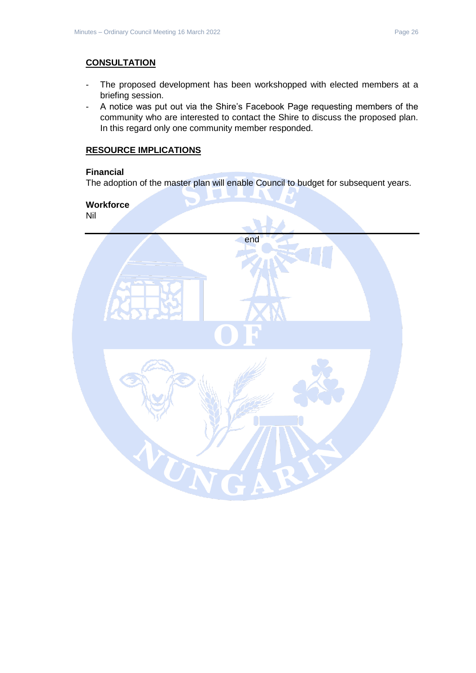# **CONSULTATION**

- The proposed development has been workshopped with elected members at a briefing session.
- A notice was put out via the Shire's Facebook Page requesting members of the community who are interested to contact the Shire to discuss the proposed plan. In this regard only one community member responded.

# **RESOURCE IMPLICATIONS**

# **Financial**

The adoption of the master plan will enable Council to budget for subsequent years.

# **Workforce**

Nil

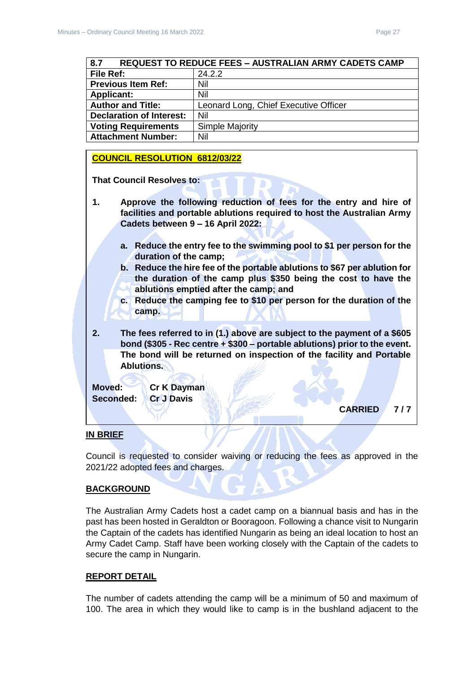<span id="page-26-0"></span>

| <b>REQUEST TO REDUCE FEES - AUSTRALIAN ARMY CADETS CAMP</b><br>8.7 |                                       |  |
|--------------------------------------------------------------------|---------------------------------------|--|
| <b>File Ref:</b>                                                   | 24.2.2                                |  |
| <b>Previous Item Ref:</b>                                          | Nil                                   |  |
| <b>Applicant:</b>                                                  | Nil                                   |  |
| <b>Author and Title:</b>                                           | Leonard Long, Chief Executive Officer |  |
| <b>Declaration of Interest:</b>                                    | Nil                                   |  |
| <b>Voting Requirements</b>                                         | <b>Simple Majority</b>                |  |
| <b>Attachment Number:</b>                                          | Nil                                   |  |

#### **COUNCIL RESOLUTION 6812/03/22**

**That Council Resolves to:** 

- **1. Approve the following reduction of fees for the entry and hire of facilities and portable ablutions required to host the Australian Army Cadets between 9 – 16 April 2022:**
	- **a. Reduce the entry fee to the swimming pool to \$1 per person for the duration of the camp;**
	- **b. Reduce the hire fee of the portable ablutions to \$67 per ablution for the duration of the camp plus \$350 being the cost to have the ablutions emptied after the camp; and**
	- **c. Reduce the camping fee to \$10 per person for the duration of the camp.**
- **2. The fees referred to in (1.) above are subject to the payment of a \$605 bond (\$305 - Rec centre + \$300 – portable ablutions) prior to the event. The bond will be returned on inspection of the facility and Portable Ablutions.**

**Moved: Cr K Dayman Seconded: Cr J Davis**

**CARRIED 7 / 7** 

#### **IN BRIEF**

Council is requested to consider waiving or reducing the fees as approved in the 2021/22 adopted fees and charges.

#### **BACKGROUND**

The Australian Army Cadets host a cadet camp on a biannual basis and has in the past has been hosted in Geraldton or Booragoon. Following a chance visit to Nungarin the Captain of the cadets has identified Nungarin as being an ideal location to host an Army Cadet Camp. Staff have been working closely with the Captain of the cadets to secure the camp in Nungarin.

#### **REPORT DETAIL**

The number of cadets attending the camp will be a minimum of 50 and maximum of 100. The area in which they would like to camp is in the bushland adjacent to the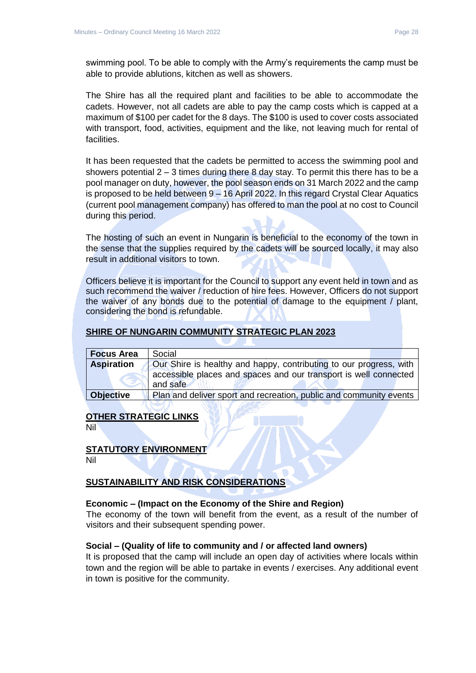swimming pool. To be able to comply with the Army's requirements the camp must be able to provide ablutions, kitchen as well as showers.

The Shire has all the required plant and facilities to be able to accommodate the cadets. However, not all cadets are able to pay the camp costs which is capped at a maximum of \$100 per cadet for the 8 days. The \$100 is used to cover costs associated with transport, food, activities, equipment and the like, not leaving much for rental of facilities.

It has been requested that the cadets be permitted to access the swimming pool and showers potential  $2 - 3$  times during there 8 day stay. To permit this there has to be a pool manager on duty, however, the pool season ends on 31 March 2022 and the camp is proposed to be held between 9 – 16 April 2022. In this regard Crystal Clear Aquatics (current pool management company) has offered to man the pool at no cost to Council during this period.

The hosting of such an event in Nungarin is beneficial to the economy of the town in the sense that the supplies required by the cadets will be sourced locally, it may also result in additional visitors to town.

Officers believe it is important for the Council to support any event held in town and as such recommend the waiver / reduction of hire fees. However, Officers do not support the waiver of any bonds due to the potential of damage to the equipment / plant, considering the bond is refundable.

#### **SHIRE OF NUNGARIN COMMUNITY STRATEGIC PLAN 2023**

| <b>Focus Area</b> | Social                                                             |
|-------------------|--------------------------------------------------------------------|
| <b>Aspiration</b> | Our Shire is healthy and happy, contributing to our progress, with |
|                   | accessible places and spaces and our transport is well connected   |
|                   | and safe                                                           |
| <b>Objective</b>  | Plan and deliver sport and recreation, public and community events |

#### **OTHER STRATEGIC LINKS**

Nil

#### **STATUTORY ENVIRONMENT**

Nil

# **SUSTAINABILITY AND RISK CONSIDERATIONS**

#### **Economic – (Impact on the Economy of the Shire and Region)**

The economy of the town will benefit from the event, as a result of the number of visitors and their subsequent spending power.

#### **Social – (Quality of life to community and / or affected land owners)**

It is proposed that the camp will include an open day of activities where locals within town and the region will be able to partake in events / exercises. Any additional event in town is positive for the community.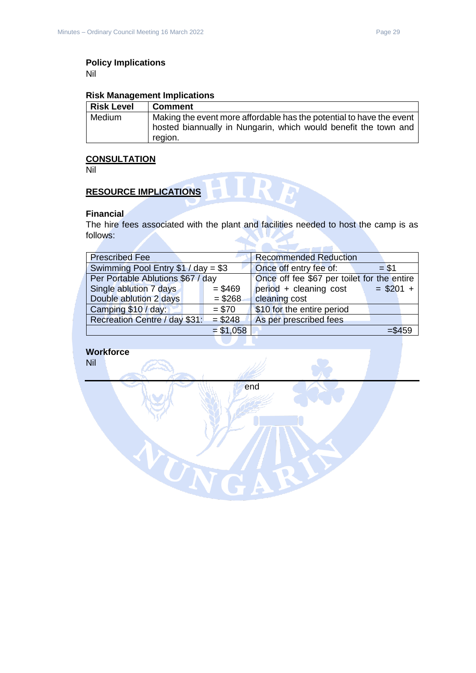# **Policy Implications**

Nil

#### **Risk Management Implications**

| <b>Risk Level</b> | <b>Comment</b>                                                       |
|-------------------|----------------------------------------------------------------------|
| Medium            | Making the event more affordable has the potential to have the event |
|                   | hosted biannually in Nungarin, which would benefit the town and      |
|                   | region.                                                              |

# **CONSULTATION**

Nil

# **RESOURCE IMPLICATIONS**

#### **Financial**

The hire fees associated with the plant and facilities needed to host the camp is as follows:

NA.

HIRE

| <b>Prescribed Fee</b>               |            | <b>Recommended Reduction</b>                |            |
|-------------------------------------|------------|---------------------------------------------|------------|
| Swimming Pool Entry $$1 / day = $3$ |            | Once off entry fee of:                      | $= $1$     |
| Per Portable Ablutions \$67 / day   |            | Once off fee \$67 per toilet for the entire |            |
| Single ablution 7 days              | $= $469$   | period + cleaning cost                      | $= $201 +$ |
| Double ablution 2 days              | $= $268$   | cleaning cost                               |            |
| Camping \$10 / day:                 | $= $70$    | \$10 for the entire period                  |            |
| Recreation Centre / day \$31:       | $= $248$   | As per prescribed fees                      |            |
|                                     | $= $1,058$ |                                             | $= $459$   |
|                                     |            |                                             |            |

# **Workforce**

Nil

end

WN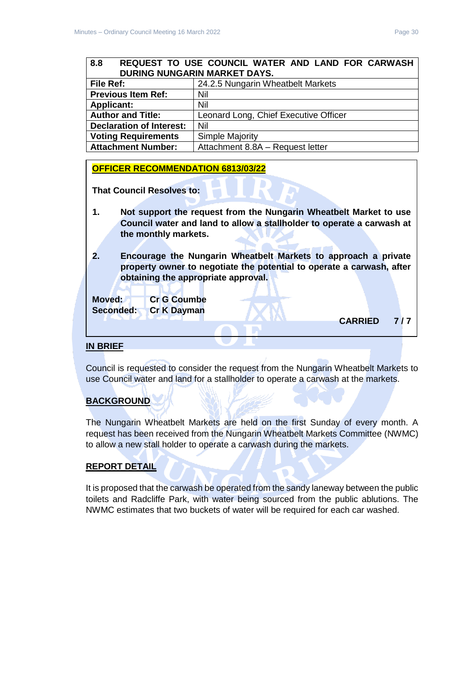<span id="page-29-0"></span>

| l File Ref:                     | 24.2.5 Nungarin Wheatbelt Markets     |  |
|---------------------------------|---------------------------------------|--|
| <b>Previous Item Ref:</b>       | Nil                                   |  |
| <b>Applicant:</b>               | Nil                                   |  |
| <b>Author and Title:</b>        | Leonard Long, Chief Executive Officer |  |
| <b>Declaration of Interest:</b> | Nil                                   |  |
| <b>Voting Requirements</b>      | Simple Majority                       |  |
| Attachment Number:              | Attachment 8.8A - Request letter      |  |

# **OFFICER RECOMMENDATION 6813/03/22**

**That Council Resolves to:** 

- **1. Not support the request from the Nungarin Wheatbelt Market to use Council water and land to allow a stallholder to operate a carwash at the monthly markets.**
- **2. Encourage the Nungarin Wheatbelt Markets to approach a private property owner to negotiate the potential to operate a carwash, after obtaining the appropriate approval.**

**Moved: Cr G Coumbe Seconded: Cr K Dayman**

**CARRIED 7 / 7** 

# **IN BRIEF**

Council is requested to consider the request from the Nungarin Wheatbelt Markets to use Council water and land for a stallholder to operate a carwash at the markets.

# **BACKGROUND**

The Nungarin Wheatbelt Markets are held on the first Sunday of every month. A request has been received from the Nungarin Wheatbelt Markets Committee (NWMC) to allow a new stall holder to operate a carwash during the markets.

# **REPORT DETAIL**

It is proposed that the carwash be operated from the sandy laneway between the public toilets and Radcliffe Park, with water being sourced from the public ablutions. The NWMC estimates that two buckets of water will be required for each car washed.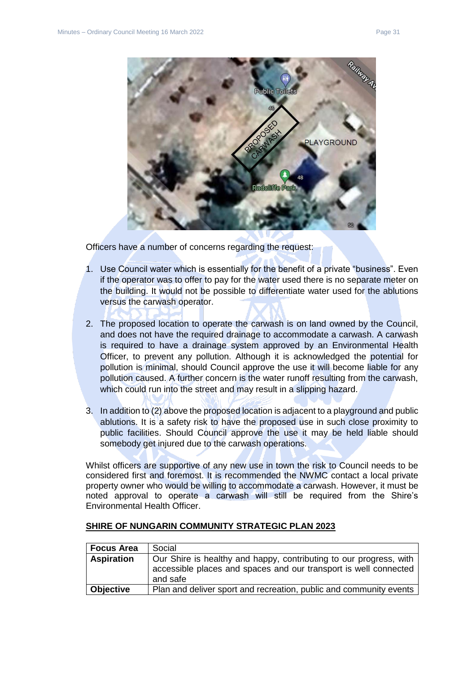

Officers have a number of concerns regarding the request:

- 1. Use Council water which is essentially for the benefit of a private "business". Even if the operator was to offer to pay for the water used there is no separate meter on the building. It would not be possible to differentiate water used for the ablutions versus the carwash operator.
- 2. The proposed location to operate the carwash is on land owned by the Council, and does not have the required drainage to accommodate a carwash. A carwash is required to have a drainage system approved by an Environmental Health Officer, to prevent any pollution. Although it is acknowledged the potential for pollution is minimal, should Council approve the use it will become liable for any pollution caused. A further concern is the water runoff resulting from the carwash, which could run into the street and may result in a slipping hazard.
- 3. In addition to (2) above the proposed location is adjacent to a playground and public ablutions. It is a safety risk to have the proposed use in such close proximity to public facilities. Should Council approve the use it may be held liable should somebody get injured due to the carwash operations.

Whilst officers are supportive of any new use in town the risk to Council needs to be considered first and foremost. It is recommended the NWMC contact a local private property owner who would be willing to accommodate a carwash. However, it must be noted approval to operate a carwash will still be required from the Shire's Environmental Health Officer.

| <b>Focus Area</b> | Social                                                                                                                                             |
|-------------------|----------------------------------------------------------------------------------------------------------------------------------------------------|
| <b>Aspiration</b> | Our Shire is healthy and happy, contributing to our progress, with<br>accessible places and spaces and our transport is well connected<br>and safe |
| <b>Objective</b>  | Plan and deliver sport and recreation, public and community events                                                                                 |

#### **SHIRE OF NUNGARIN COMMUNITY STRATEGIC PLAN 2023**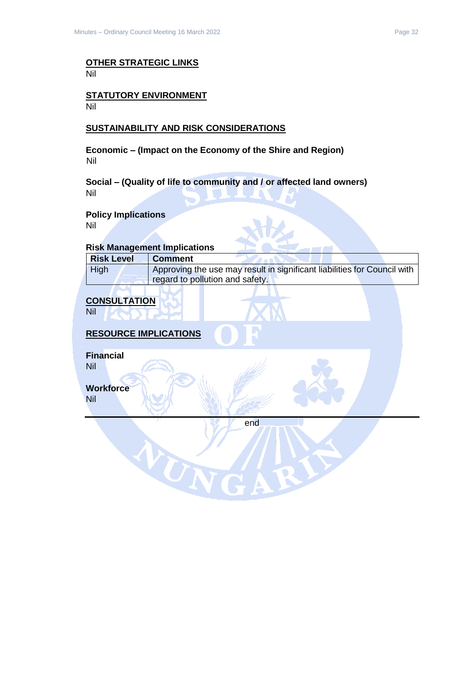#### **OTHER STRATEGIC LINKS** Nil

#### **STATUTORY ENVIRONMENT** Nil

# **SUSTAINABILITY AND RISK CONSIDERATIONS**

**Economic – (Impact on the Economy of the Shire and Region)** Nil

**Social – (Quality of life to community and / or affected land owners)** Nil

#### **Policy Implications**

Nil

#### **Risk Management Implications**

| <b>Risk Level</b> | <b>Comment</b>                                                           |
|-------------------|--------------------------------------------------------------------------|
| High              | Approving the use may result in significant liabilities for Council with |
|                   | regard to pollution and safety.                                          |

# **CONSULTATION**

Nil

# **RESOURCE IMPLICATIONS**

VON

**Financial**

Nil

**Workforce**

Nil

end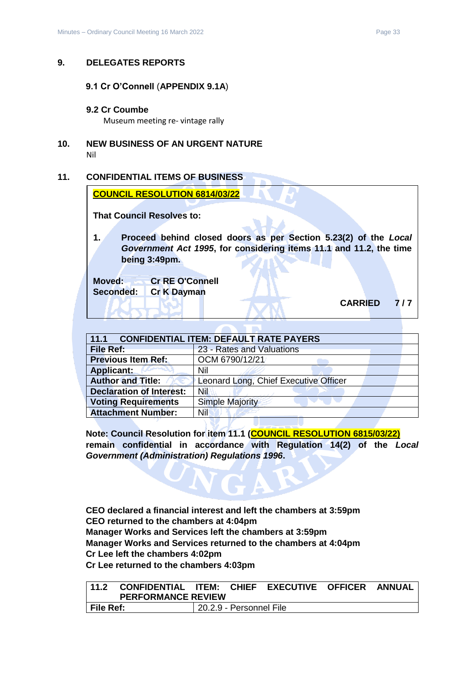#### <span id="page-32-1"></span><span id="page-32-0"></span>**9. DELEGATES REPORTS**

#### **9.1 Cr O'Connell** (**APPENDIX 9.1A**)

#### <span id="page-32-2"></span>**9.2 Cr Coumbe**

Museum meeting re- vintage rally

<span id="page-32-3"></span>**10. NEW BUSINESS OF AN URGENT NATURE** Nil

#### <span id="page-32-4"></span>**11. CONFIDENTIAL ITEMS OF BUSINESS**

| <b>COUNCIL RESOLUTION 6814/03/22</b> |  |  |
|--------------------------------------|--|--|
|                                      |  |  |

**That Council Resolves to:** 

**1. Proceed behind closed doors as per Section 5.23(2) of the** *Local Government Act 1995***, for considering items 11.1 and 11.2, the time being 3:49pm.** 

**Moved: Cr RE O'Connell Seconded: Cr K Dayman**

**CARRIED 7 / 7** 

<span id="page-32-5"></span>

| <b>CONFIDENTIAL ITEM: DEFAULT RATE PAYERS</b><br>11.1 |                                       |  |
|-------------------------------------------------------|---------------------------------------|--|
| <b>File Ref:</b>                                      | 23 - Rates and Valuations             |  |
| <b>Previous Item Ref:</b>                             | OCM 6790/12/21                        |  |
| <b>Applicant:</b>                                     | Nil                                   |  |
| <b>Author and Title:</b>                              | Leonard Long, Chief Executive Officer |  |
| <b>Declaration of Interest:</b>                       | Nil                                   |  |
| <b>Voting Requirements</b>                            | <b>Simple Majority</b>                |  |
| <b>Attachment Number:</b>                             | Nil                                   |  |

**Note: Council Resolution for item 11.1 (COUNCIL RESOLUTION 6815/03/22) remain confidential in accordance with Regulation 14(2) of the** *Local Government (Administration) Regulations 1996***.**

**CEO declared a financial interest and left the chambers at 3:59pm CEO returned to the chambers at 4:04pm Manager Works and Services left the chambers at 3:59pm Manager Works and Services returned to the chambers at 4:04pm Cr Lee left the chambers 4:02pm Cr Lee returned to the chambers 4:03pm**

N IZ

<span id="page-32-6"></span>

| 11.2      | CONFIDENTIAL ITEM: CHIEF EXECUTIVE OFFICER ANNUAL |                         |  |  |
|-----------|---------------------------------------------------|-------------------------|--|--|
|           | <b>PERFORMANCE REVIEW</b>                         |                         |  |  |
| File Ref: |                                                   | 20.2.9 - Personnel File |  |  |